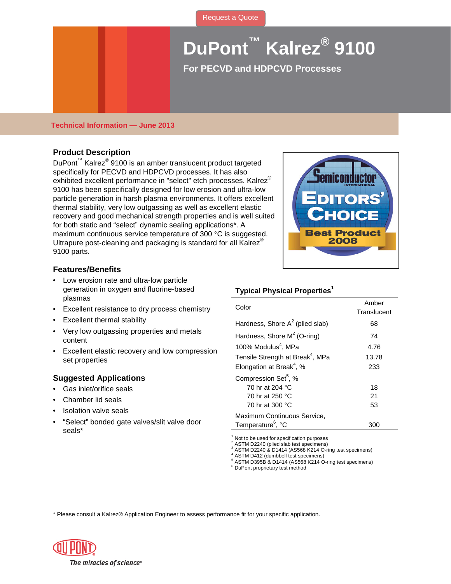# **DuPont™ Kalrez® 9100**

**For PECVD and HDPCVD Processes** 

## **Technical Information — June 2013**

# **Product Description**

DuPont™ Kalrez® 9100 is an amber translucent product targeted specifically for PECVD and HDPCVD processes. It has also exhibited excellent performance in "select" etch processes. Kalrez® 9100 has been specifically designed for low erosion and ultra-low particle generation in harsh plasma environments. It offers excellent thermal stability, very low outgassing as well as excellent elastic recovery and good mechanical strength properties and is well suited for both static and "select" dynamic sealing applications\*. A maximum continuous service temperature of 300 °C is suggested. Ultrapure post-cleaning and packaging is standard for all Kalrez<sup>®</sup> 9100 parts.



#### **Features/Benefits**

- Low erosion rate and ultra-low particle generation in oxygen and fluorine-based plasmas
- Excellent resistance to dry process chemistry
- Excellent thermal stability
- Very low outgassing properties and metals content
- Excellent elastic recovery and low compression set properties

#### **Suggested Applications**

- Gas inlet/orifice seals
- Chamber lid seals
- Isolation valve seals
- "Select" bonded gate valves/slit valve door seals\*

## **Typical Physical Properties1**

| Color                                        | Amber<br>Translucent |
|----------------------------------------------|----------------------|
| Hardness, Shore $A^2$ (plied slab)           | 68                   |
| Hardness, Shore $M^2$ (O-ring)               | 74                   |
| 100% Modulus <sup>4</sup> . MPa              | 4.76                 |
| Tensile Strength at Break <sup>4</sup> , MPa | 13.78                |
| Elongation at Break <sup>4</sup> , %         | 233                  |
| Compression Set <sup>5</sup> , %             |                      |
| 70 hr at 204 °C                              | 18                   |
| 70 hr at 250 °C                              | 21                   |
| 70 hr at 300 °C                              | 53                   |
| Maximum Continuous Service,                  |                      |
| Temperature <sup>6</sup> , °C                | 300                  |

 $1$  Not to be used for specification purposes<br> $2$  ASTM D2240 (plied slab test specimens)

<sup>3</sup> ASTM D2240 & D1414 (AS568 K214 O-ring test specimens)<br>  $^4$  ASTM D412 (dumbbell test specimens)<br>  $^5$  ASTM D395B & D1414 (AS568 K214 O-ring test specimens)<br>  $^6$  DuPont proprietary test method

\* Please consult a Kalrez® Application Engineer to assess performance fit for your specific application.

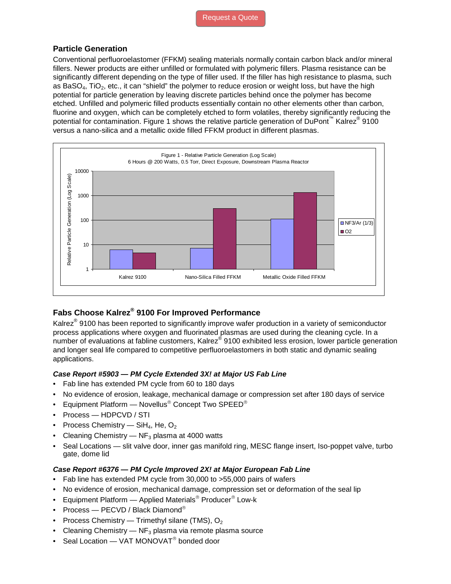# **Particle Generation**

Conventional perfluoroelastomer (FFKM) sealing materials normally contain carbon black and/or mineral fillers. Newer products are either unfilled or formulated with polymeric fillers. Plasma resistance can be significantly different depending on the type of filler used. If the filler has high resistance to plasma, such as BaSO<sub>4</sub>, TiO<sub>2</sub>, etc., it can "shield" the polymer to reduce erosion or weight loss, but have the high potential for particle generation by leaving discrete particles behind once the polymer has become etched. Unfilled and polymeric filled products essentially contain no other elements other than carbon, fluorine and oxygen, which can be completely etched to form volatiles, thereby significantly reducing the potential for contamination. Figure 1 shows the relative particle generation of DuPont™ Kalrez<sup>®</sup> 9100 versus a nano-silica and a metallic oxide filled FFKM product in different plasmas.



# **Fabs Choose Kalrez® 9100 For Improved Performance**

Kalrez<sup>®</sup> 9100 has been reported to significantly improve wafer production in a variety of semiconductor process applications where oxygen and fluorinated plasmas are used during the cleaning cycle. In a number of evaluations at fabline customers, Kalrez® 9100 exhibited less erosion, lower particle generation and longer seal life compared to competitive perfluoroelastomers in both static and dynamic sealing applications.

## *Case Report #5903 — PM Cycle Extended 3X! at Major US Fab Line*

- Fab line has extended PM cycle from 60 to 180 days
- No evidence of erosion, leakage, mechanical damage or compression set after 180 days of service
- Equipment Platform  $-$  Novellus<sup>®</sup> Concept Two SPEED<sup>®</sup>
- Process HDPCVD / STI
- Process Chemistry SiH<sub>4</sub>, He,  $O_2$
- Cleaning Chemistry  $-$  NF<sub>3</sub> plasma at 4000 watts
- Seal Locations slit valve door, inner gas manifold ring, MESC flange insert, Iso-poppet valve, turbo gate, dome lid

# *Case Report #6376 — PM Cycle Improved 2X! at Major European Fab Line*

- Fab line has extended PM cycle from 30,000 to >55,000 pairs of wafers
- No evidence of erosion, mechanical damage, compression set or deformation of the seal lip
- Equipment Platform  $-$  Applied Materials<sup>®</sup> Producer<sup>®</sup> Low-k
- Process PECVD / Black Diamond®
- Process Chemistry Trimethyl silane (TMS),  $O_2$
- Cleaning Chemistry  $-$  NF<sub>3</sub> plasma via remote plasma source
- Seal Location VAT MONOVAT<sup>®</sup> bonded door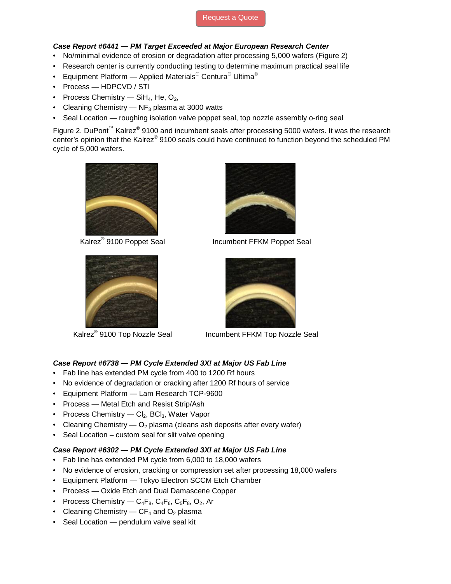# [Request a Quote](http://www.marcorubber.com/contact_quote.htm?material=K9100)

## *Case Report #6441 — PM Target Exceeded at Major European Research Center*

- No/minimal evidence of erosion or degradation after processing 5,000 wafers (Figure 2)
- Research center is currently conducting testing to determine maximum practical seal life
- Equipment Platform Applied Materials<sup>®</sup> Centura<sup>®</sup> Ultima<sup>®</sup>
- Process HDPCVD / STI
- Process Chemistry  $SH_4$ , He,  $O_2$ ,
- Cleaning Chemistry  $-$  NF<sub>3</sub> plasma at 3000 watts
- Seal Location roughing isolation valve poppet seal, top nozzle assembly o-ring seal

Figure 2. DuPont<sup>™</sup> Kalrez<sup>®</sup> 9100 and incumbent seals after processing 5000 wafers. It was the research center's opinion that the Kalrez® 9100 seals could have continued to function beyond the scheduled PM cycle of 5,000 wafers.







Kalrez<sup>®</sup> 9100 Poppet Seal Incumbent FFKM Poppet Seal



Kalrez<sup>®</sup> 9100 Top Nozzle Seal Incumbent FFKM Top Nozzle Seal

# *Case Report #6738 — PM Cycle Extended 3X! at Major US Fab Line*

- Fab line has extended PM cycle from 400 to 1200 Rf hours
- No evidence of degradation or cracking after 1200 Rf hours of service
- Equipment Platform Lam Research TCP-9600
- Process Metal Etch and Resist Strip/Ash
- Process Chemistry  $Cl_2$ , BCl<sub>3</sub>, Water Vapor
- Cleaning Chemistry  $-$  O<sub>2</sub> plasma (cleans ash deposits after every wafer)
- Seal Location custom seal for slit valve opening

## *Case Report #6302 — PM Cycle Extended 3X! at Major US Fab Line*

- Fab line has extended PM cycle from 6,000 to 18,000 wafers
- No evidence of erosion, cracking or compression set after processing 18,000 wafers
- Equipment Platform Tokyo Electron SCCM Etch Chamber
- Process Oxide Etch and Dual Damascene Copper
- Process Chemistry  $C_4F_8$ ,  $C_4F_6$ ,  $C_5F_8$ ,  $O_2$ , Ar
- Cleaning Chemistry  $CF_4$  and  $O_2$  plasma
- Seal Location pendulum valve seal kit